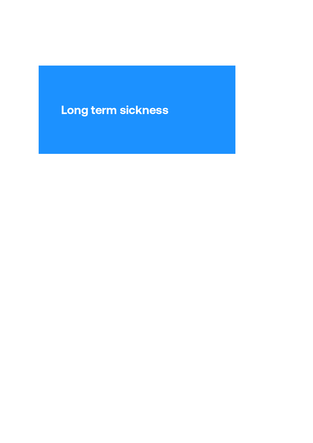# Long term sickness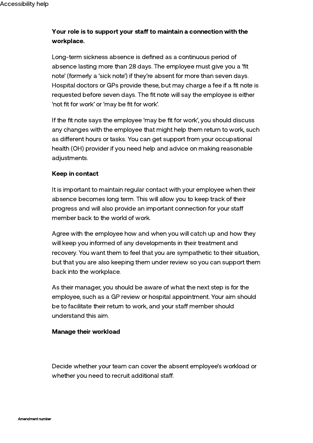## Your role is to support your staff to maintain a connection with the workplace.

Long-term sickness absence is defined as a continuous period of absence lasting more than 28 days. The employee must give you a 'fit note' (formerly a 'sick note') if they're absent for more than seven days. Hospital doctors or GPs provide these, but may charge a fee if a fit note is requested before seven days. The fit note will say the employee is either 'not fit for work' or 'may be fit for work'.

If the fit note says the employee 'may be fit for work', you should discuss any changes with the employee that might help them return to work, such as different hours or tasks. You can get support from your occupational health (OH) provider if you need help and advice on making reasonable adjustments.

### Keep in contact

It is important to maintain regular contact with your employee when their absence becomes long term. This will allow you to keep track of their progress and will also provide an important connection for your sta member back to the world of work.

Agree with the employee how and when you will catch up and how they will keep you informed of any developments in their treatment and recovery. You want them to feel that you are sympathetic to their situation, but that you are also keeping them under review so you can support them back into the workplace.

As their manager, you should be aware of what the next step is for the employee, such as a GP review or hospital appointment. Your aim should be to facilitate their return to work, and your staff member should understand this aim.

#### Manage their workload

Decide whether your team can cover the absent employee's workload or whether you need to recruit additional staff.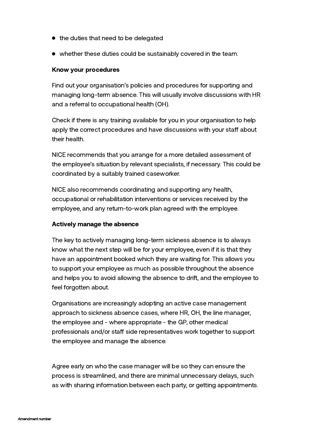- the duties that need to be delegated
- whether these duties could be sustainably covered in the team.

#### Know your procedures

Find out your organisation's policies and procedures for supporting and managing long-term absence. This will usually involve discussions with HR and a referral to occupational health (OH).

Check if there is any training available for you in your organisation to help apply the correct procedures and have discussions with your staff about their health.

NICE recommends that you arrange for a more detailed assessment of the employee's situation by relevant specialists, if necessary. This could be coordinated by a suitably trained caseworker.

NICE also recommends coordinating and supporting any health, occupational or rehabilitation interventions or services received by the employee, and any return-to-work plan agreed with the employee.

#### Actively manage the absence

The key to actively managing long-term sickness absence is to always know what the next step will be for your employee, even if it is that they have an appointment booked which they are waiting for. This allows you to support your employee as much as possible throughout the absence and helps you to avoid allowing the absence to drift, and the employee to feel forgotten about.

Organisations are increasingly adopting an active case management approach to sickness absence cases, where HR, OH, the line manager, the employee and - where appropriate - the GP, other medical professionals and/or staff side representatives work together to support the employee and manage the absence.

Agree early on who the case manager will be so they can ensure the process is streamlined, and there are minimal unnecessary delays, such as with sharing information between each party, or getting appointments.